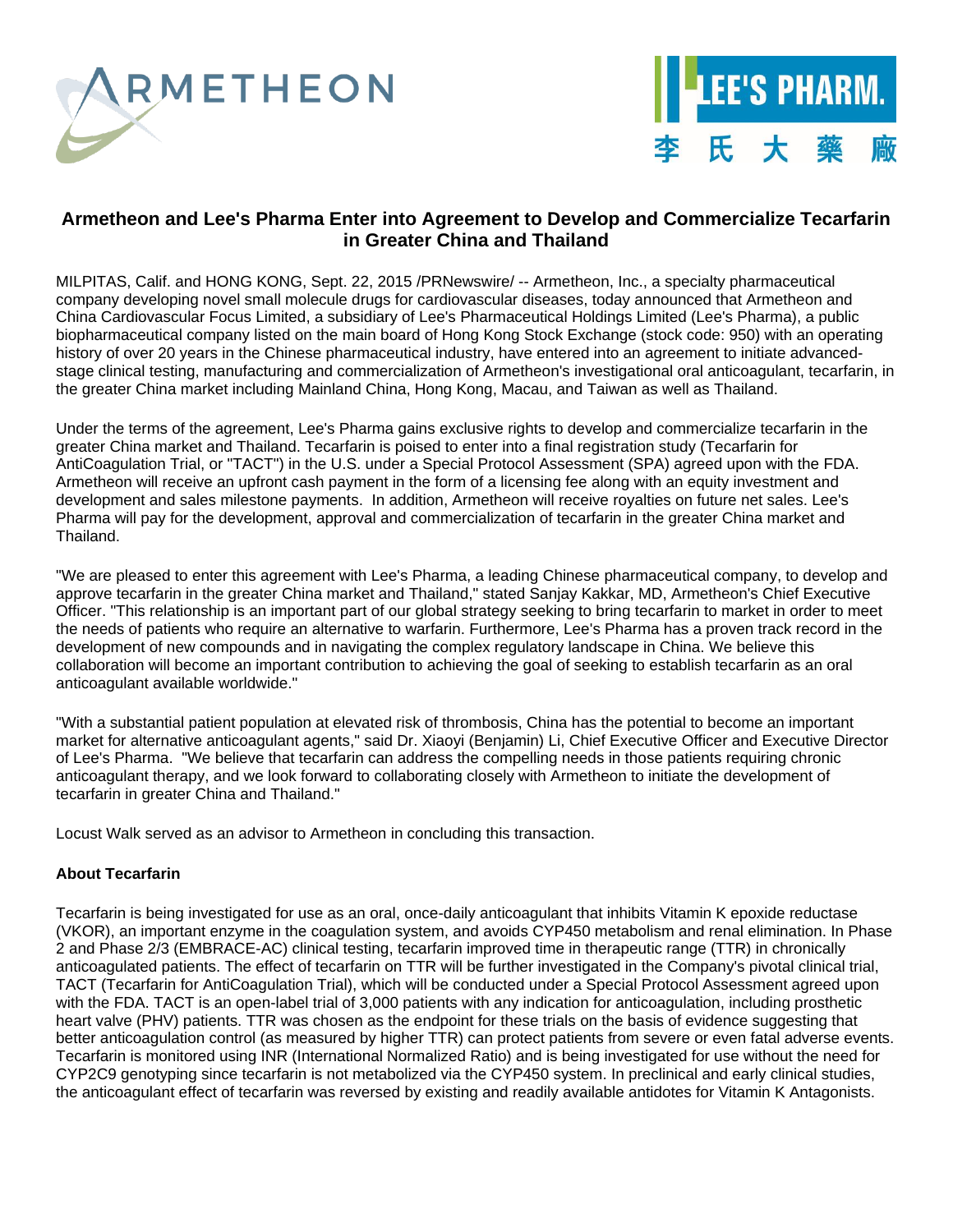



# **Armetheon and Lee's Pharma Enter into Agreement to Develop and Commercialize Tecarfarin in Greater China and Thailand**

MILPITAS, Calif. and HONG KONG, Sept. 22, 2015 /PRNewswire/ -- Armetheon, Inc., a specialty pharmaceutical company developing novel small molecule drugs for cardiovascular diseases, today announced that Armetheon and China Cardiovascular Focus Limited, a subsidiary of Lee's Pharmaceutical Holdings Limited (Lee's Pharma), a public biopharmaceutical company listed on the main board of Hong Kong Stock Exchange (stock code: 950) with an operating history of over 20 years in the Chinese pharmaceutical industry, have entered into an agreement to initiate advancedstage clinical testing, manufacturing and commercialization of Armetheon's investigational oral anticoagulant, tecarfarin, in the greater China market including Mainland China, Hong Kong, Macau, and Taiwan as well as Thailand.

Under the terms of the agreement, Lee's Pharma gains exclusive rights to develop and commercialize tecarfarin in the greater China market and Thailand. Tecarfarin is poised to enter into a final registration study (Tecarfarin for AntiCoagulation Trial, or "TACT") in the U.S. under a Special Protocol Assessment (SPA) agreed upon with the FDA. Armetheon will receive an upfront cash payment in the form of a licensing fee along with an equity investment and development and sales milestone payments. In addition, Armetheon will receive royalties on future net sales. Lee's Pharma will pay for the development, approval and commercialization of tecarfarin in the greater China market and Thailand.

"We are pleased to enter this agreement with Lee's Pharma, a leading Chinese pharmaceutical company, to develop and approve tecarfarin in the greater China market and Thailand," stated Sanjay Kakkar, MD, Armetheon's Chief Executive Officer. "This relationship is an important part of our global strategy seeking to bring tecarfarin to market in order to meet the needs of patients who require an alternative to warfarin. Furthermore, Lee's Pharma has a proven track record in the development of new compounds and in navigating the complex regulatory landscape in China. We believe this collaboration will become an important contribution to achieving the goal of seeking to establish tecarfarin as an oral anticoagulant available worldwide."

"With a substantial patient population at elevated risk of thrombosis, China has the potential to become an important market for alternative anticoagulant agents," said Dr. Xiaoyi (Benjamin) Li, Chief Executive Officer and Executive Director of Lee's Pharma. "We believe that tecarfarin can address the compelling needs in those patients requiring chronic anticoagulant therapy, and we look forward to collaborating closely with Armetheon to initiate the development of tecarfarin in greater China and Thailand."

Locust Walk served as an advisor to Armetheon in concluding this transaction.

# **About Tecarfarin**

Tecarfarin is being investigated for use as an oral, once-daily anticoagulant that inhibits Vitamin K epoxide reductase (VKOR), an important enzyme in the coagulation system, and avoids CYP450 metabolism and renal elimination. In Phase 2 and Phase 2/3 (EMBRACE-AC) clinical testing, tecarfarin improved time in therapeutic range (TTR) in chronically anticoagulated patients. The effect of tecarfarin on TTR will be further investigated in the Company's pivotal clinical trial, TACT (Tecarfarin for AntiCoagulation Trial), which will be conducted under a Special Protocol Assessment agreed upon with the FDA. TACT is an open-label trial of 3,000 patients with any indication for anticoagulation, including prosthetic heart valve (PHV) patients. TTR was chosen as the endpoint for these trials on the basis of evidence suggesting that better anticoagulation control (as measured by higher TTR) can protect patients from severe or even fatal adverse events. Tecarfarin is monitored using INR (International Normalized Ratio) and is being investigated for use without the need for CYP2C9 genotyping since tecarfarin is not metabolized via the CYP450 system. In preclinical and early clinical studies, the anticoagulant effect of tecarfarin was reversed by existing and readily available antidotes for Vitamin K Antagonists.